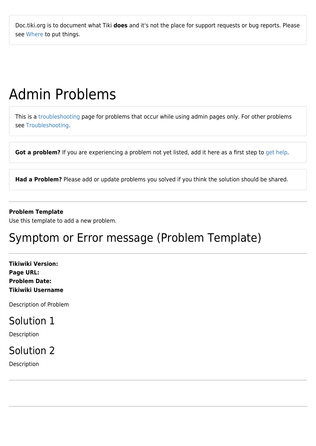Doc.tiki.org is to document what Tiki **does** and it's not the place for support requests or bug reports. Please see [Where](http://tiki.org/Where) to put things.

# Admin Problems

This is a [troubleshooting](https://doc.tiki.org/Troubleshooting) page for problems that occur while using admin pages only. For other problems see [Troubleshooting.](https://doc.tiki.org/Troubleshooting)

Got a problem? If you are experiencing a problem not yet listed, add it here as a first step to [get help.](https://doc.tiki.org/Get-Help)

**Had a Problem?** Please add or update problems you solved if you think the solution should be shared.

#### **Problem Template**

Use this template to add a new problem.

# Symptom or Error message (Problem Template)

**Tikiwiki Version: Page URL: Problem Date: Tikiwiki Username**

Description of Problem

#### Solution 1

Description

#### Solution 2

Description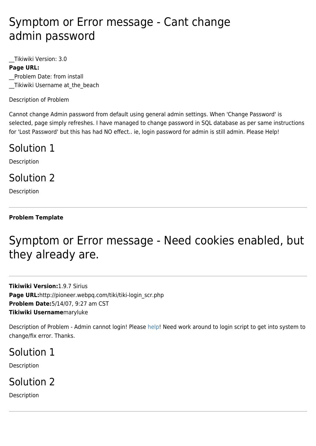# Symptom or Error message - Cant change admin password

\_\_Tikiwiki Version: 3.0

#### **Page URL:**

\_\_Problem Date: from install Tikiwiki Username at the beach

Description of Problem

Cannot change Admin password from default using general admin settings. When 'Change Password' is selected, page simply refreshes. I have managed to change password in SQL database as per same instructions for 'Lost Password' but this has had NO effect.. ie, login password for admin is still admin. Please Help!

#### Solution 1

Description

### Solution 2

Description

#### **Problem Template**

# Symptom or Error message - Need cookies enabled, but they already are.

**Tikiwiki Version:**1.9.7 Sirius Page URL:http://pioneer.webpq.com/tiki/tiki-login\_scr.php **Problem Date:**5/14/07, 9:27 am CST **Tikiwiki Username**maryluke

Description of Problem - Admin cannot login! Please [help!](https://doc.tiki.org/help) Need work around to login script to get into system to change/fix error. Thanks.

#### Solution 1

Description

### Solution 2

Description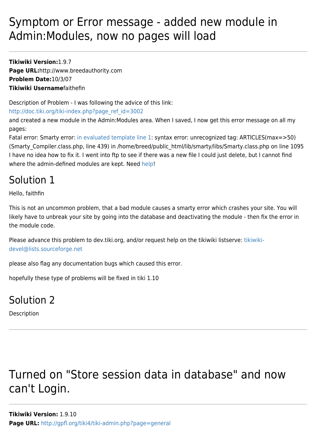# Symptom or Error message - added new module in Admin:Modules, now no pages will load

**Tikiwiki Version:**1.9.7 **Page URL:**http://www.breedauthority.com **Problem Date:**10/3/07 **Tikiwiki Username**faithefin

Description of Problem - I was following the advice of this link:

[http://doc.tiki.org/tiki-index.php?page\\_ref\\_id=3002](http://doc.tiki.org/tiki-index.php?page_ref_id=3002)

and created a new module in the Admin:Modules area. When I saved, I now get this error message on all my pages:

Fatal error: Smarty error: [in evaluated template line 1](https://doc.tiki.org/in%20evaluated%20template%20line%201): syntax error: unrecognized tag: ARTICLES(max=>50) (Smarty\_Compiler.class.php, line 439) in /home/breed/public\_html/lib/smarty/libs/Smarty.class.php on line 1095 I have no idea how to fix it. I went into ftp to see if there was a new file I could just delete, but I cannot find where the admin-defined modules are kept. Need [help!](https://doc.tiki.org/help)

### Solution 1

Hello, faithfin

This is not an uncommon problem, that a bad module causes a [smarty error](https://doc.tiki.org/tiki-editpage.php?page=smarty+error) which crashes your site. You will likely have to unbreak your site by going into the database and deactivating the module - then fix the error in the module code.

Please advance this problem to dev.tiki.org, and/or request help on the tikiwiki listserve: [tikiwiki](mailto:tikiwiki-devel@lists.sourceforge.net)[devel@lists.sourceforge.net](mailto:tikiwiki-devel@lists.sourceforge.net)

please also flag any documentation bugs which caused this error.

hopefully these type of problems will be fixed in tiki 1.10

#### Solution 2

Description

# Turned on "Store session data in database" and now can't Login.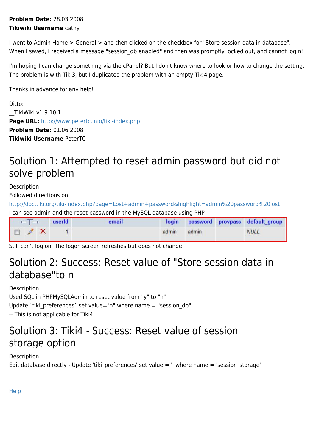#### **Problem Date:** 28.03.2008 **Tikiwiki Username** cathy

I went to Admin Home > General > and then clicked on the checkbox for "Store session data in database". When I saved, I received a message "session db enabled" and then was promptly locked out, and cannot login!

I'm hoping I can change something via the cPanel? But I don't know where to look or how to change the setting. The problem is with Tiki3, but I duplicated the problem with an empty Tiki4 page.

Thanks in advance for any help!

Ditto: \_\_TikiWiki v1.9.10.1 Page URL: <http://www.petertc.info/tiki-index.php> **Problem Date:** 01.06.2008 **Tikiwiki Username** PeterTC

### Solution 1: Attempted to reset admin password but did not solve problem

Description

Followed directions on

<http://doc.tiki.org/tiki-index.php?page=Lost+admin+password&highlight=admin%20password%20lost> I can see admin and the reset password in the MySQL database using PHP

| $\leftarrow$ T $\rightarrow$ | <b>Example 1</b> | email |             |  | login password provpass default_group |
|------------------------------|------------------|-------|-------------|--|---------------------------------------|
| $\Box$ $\angle$ $\times$     |                  |       | admin admin |  | <b>NULL</b>                           |

Still can't log on. The logon screen refreshes but does not change.

### Solution 2: Success: Reset value of "Store session data in database"to n

Description Used SQL in PHPMySQLAdmin to reset value from "y" to "n" Update `tiki preferences` set value="n" where name = "session db" -- This is not applicable for Tiki4

#### Solution 3: Tiki4 - Success: Reset value of session storage option

Description Edit database directly - Update 'tiki preferences' set value = " where name = 'session storage'